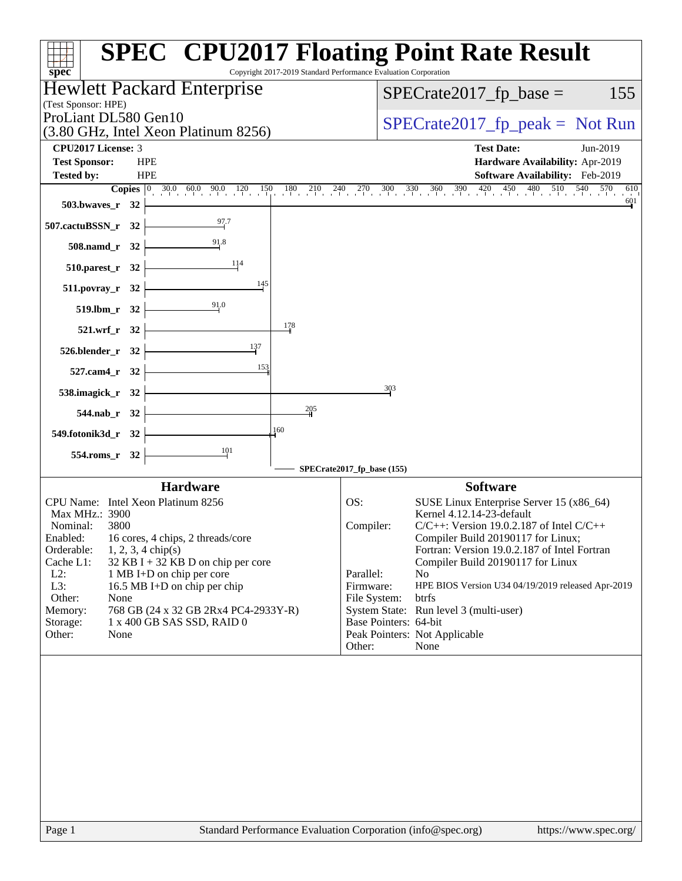| spec <sup>®</sup>                                                                        | <b>SPEC<sup>®</sup> CPU2017 Floating Point Rate Result</b><br>Copyright 2017-2019 Standard Performance Evaluation Corporation |
|------------------------------------------------------------------------------------------|-------------------------------------------------------------------------------------------------------------------------------|
| Hewlett Packard Enterprise                                                               | $SPECrate2017_fp\_base =$<br>155                                                                                              |
| (Test Sponsor: HPE)<br>ProLiant DL580 Gen10                                              |                                                                                                                               |
| (3.80 GHz, Intel Xeon Platinum 8256)                                                     | $SPECrate2017_fp\_peak = Not Run$                                                                                             |
| <b>CPU2017 License: 3</b>                                                                | <b>Test Date:</b><br>Jun-2019                                                                                                 |
| <b>Test Sponsor:</b><br><b>HPE</b>                                                       | Hardware Availability: Apr-2019                                                                                               |
| <b>HPE</b><br><b>Tested by:</b>                                                          | Software Availability: Feb-2019<br>610                                                                                        |
| <b>503.bwaves_r</b> 32                                                                   | 601                                                                                                                           |
| $\frac{97.7}{4}$<br>507.cactuBSSN_r 32                                                   |                                                                                                                               |
| $508$ .namd_r 32                                                                         |                                                                                                                               |
| $\frac{114}{2}$<br>$510.parest_r$ 32                                                     |                                                                                                                               |
| 511.povray_r 32                                                                          |                                                                                                                               |
| 91.0<br>519.lbm_r 32                                                                     |                                                                                                                               |
| 178<br>521.wrf_r 32                                                                      |                                                                                                                               |
| 137<br>$526.blender_r 32$                                                                |                                                                                                                               |
| 153<br>527.cam4_r 32                                                                     |                                                                                                                               |
| 538.imagick_r 32 $\vert$<br>205                                                          | 303                                                                                                                           |
| 544.nab_r 32                                                                             |                                                                                                                               |
| 160<br>549.fotonik3d_r 32                                                                |                                                                                                                               |
| $\frac{101}{1}$<br>554.roms_r 32                                                         | SPECrate2017_fp_base (155)                                                                                                    |
| <b>Hardware</b>                                                                          | <b>Software</b>                                                                                                               |
| CPU Name: Intel Xeon Platinum 8256                                                       | OS:<br>SUSE Linux Enterprise Server 15 (x86_64)                                                                               |
| Max MHz.: 3900<br>Nominal:<br>3800                                                       | Kernel 4.12.14-23-default<br>Compiler:<br>$C/C++$ : Version 19.0.2.187 of Intel $C/C++$                                       |
| Enabled:<br>16 cores, 4 chips, 2 threads/core                                            | Compiler Build 20190117 for Linux;                                                                                            |
| Orderable:<br>$1, 2, 3, 4$ chip(s)                                                       | Fortran: Version 19.0.2.187 of Intel Fortran                                                                                  |
| Cache L1:<br>$32$ KB I + 32 KB D on chip per core<br>$L2$ :<br>1 MB I+D on chip per core | Compiler Build 20190117 for Linux<br>Parallel:<br>N <sub>o</sub>                                                              |
| L3:<br>16.5 MB I+D on chip per chip                                                      | Firmware:<br>HPE BIOS Version U34 04/19/2019 released Apr-2019                                                                |
| Other:<br>None                                                                           | File System:<br>btrfs                                                                                                         |
| 768 GB (24 x 32 GB 2Rx4 PC4-2933Y-R)<br>Memory:                                          | System State: Run level 3 (multi-user)                                                                                        |
| 1 x 400 GB SAS SSD, RAID 0<br>Storage:                                                   | Base Pointers: 64-bit                                                                                                         |
| Other:<br>None                                                                           | Peak Pointers: Not Applicable<br>Other:<br>None                                                                               |
|                                                                                          |                                                                                                                               |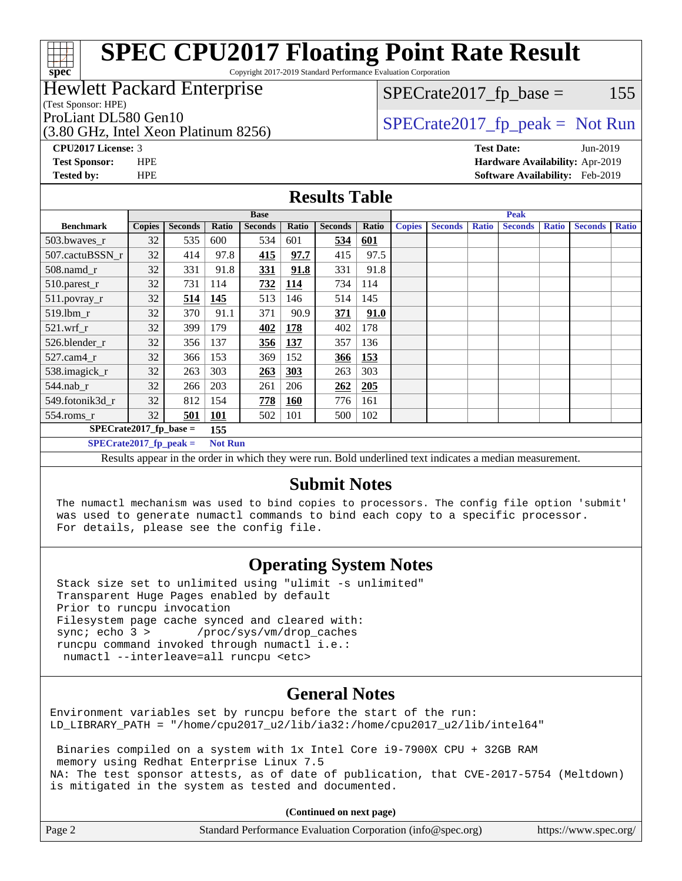## **[SPEC CPU2017 Floating Point Rate Result](http://www.spec.org/auto/cpu2017/Docs/result-fields.html#SPECCPU2017FloatingPointRateResult)**

Copyright 2017-2019 Standard Performance Evaluation Corporation

## Hewlett Packard Enterprise

(Test Sponsor: HPE)

 $SPECTate2017<sub>fr</sub> base = 155$ 

### (3.80 GHz, Intel Xeon Platinum 8256)

ProLiant DL580 Gen10  $SPECrate2017$  fp\_peak = Not Run

**[spec](http://www.spec.org/)**

**[CPU2017 License:](http://www.spec.org/auto/cpu2017/Docs/result-fields.html#CPU2017License)** 3 **[Test Date:](http://www.spec.org/auto/cpu2017/Docs/result-fields.html#TestDate)** Jun-2019 **[Test Sponsor:](http://www.spec.org/auto/cpu2017/Docs/result-fields.html#TestSponsor)** HPE **[Hardware Availability:](http://www.spec.org/auto/cpu2017/Docs/result-fields.html#HardwareAvailability)** Apr-2019 **[Tested by:](http://www.spec.org/auto/cpu2017/Docs/result-fields.html#Testedby)** HPE **[Software Availability:](http://www.spec.org/auto/cpu2017/Docs/result-fields.html#SoftwareAvailability)** Feb-2019

### **[Results Table](http://www.spec.org/auto/cpu2017/Docs/result-fields.html#ResultsTable)**

| <b>Base</b>                                                                                                 |               |                |       | <b>Peak</b>    |            |                |       |               |                |              |                |              |                |              |
|-------------------------------------------------------------------------------------------------------------|---------------|----------------|-------|----------------|------------|----------------|-------|---------------|----------------|--------------|----------------|--------------|----------------|--------------|
| <b>Benchmark</b>                                                                                            | <b>Copies</b> | <b>Seconds</b> | Ratio | <b>Seconds</b> | Ratio      | <b>Seconds</b> | Ratio | <b>Copies</b> | <b>Seconds</b> | <b>Ratio</b> | <b>Seconds</b> | <b>Ratio</b> | <b>Seconds</b> | <b>Ratio</b> |
| 503.bwaves_r                                                                                                | 32            | 535            | 600   | 534            | 601        | 534            | 601   |               |                |              |                |              |                |              |
| 507.cactuBSSN r                                                                                             | 32            | 414            | 97.8  | 415            | 97.7       | 415            | 97.5  |               |                |              |                |              |                |              |
| 508.namd_r                                                                                                  | 32            | 331            | 91.8  | 331            | 91.8       | 331            | 91.8  |               |                |              |                |              |                |              |
| 510.parest_r                                                                                                | 32            | 731            | 114   | 732            | <u>114</u> | 734            | 114   |               |                |              |                |              |                |              |
| 511.povray_r                                                                                                | 32            | 514            | 145   | 513            | 146        | 514            | 145   |               |                |              |                |              |                |              |
| 519.lbm r                                                                                                   | 32            | 370            | 91.1  | 371            | 90.9       | 371            | 91.0  |               |                |              |                |              |                |              |
| 32<br>$521$ .wrf r<br>399                                                                                   |               |                | 179   | 402            | <b>178</b> | 402            | 178   |               |                |              |                |              |                |              |
| 32<br>526.blender r                                                                                         |               | 356            | 137   | 356            | 137        | 357            | 136   |               |                |              |                |              |                |              |
| $527$ .cam $4r$                                                                                             | 32            | 366            | 153   | 369            | 152        | 366            | 153   |               |                |              |                |              |                |              |
| 538.imagick_r<br>32<br>263                                                                                  |               | 303            | 263   | 303            | 263        | 303            |       |               |                |              |                |              |                |              |
| 544.nab r                                                                                                   | 32            | 266            | 203   | 261            | 206        | 262            | 205   |               |                |              |                |              |                |              |
| 32<br>549.fotonik3d r                                                                                       |               | 812            | 154   | 778            | <b>160</b> | 776            | 161   |               |                |              |                |              |                |              |
| 32<br>501<br>$554$ .roms_r                                                                                  |               | 101            | 502   | 101            | 500        | 102            |       |               |                |              |                |              |                |              |
| $SPECrate2017$ fp base =<br>155                                                                             |               |                |       |                |            |                |       |               |                |              |                |              |                |              |
| $SPECrate2017_fp\_peak =$<br><b>Not Run</b>                                                                 |               |                |       |                |            |                |       |               |                |              |                |              |                |              |
| Desulto anno an in the suden in which there were my Dald wadedined text in disates a meadian massacronesser |               |                |       |                |            |                |       |               |                |              |                |              |                |              |

Results appear in the [order in which they were run.](http://www.spec.org/auto/cpu2017/Docs/result-fields.html#RunOrder) Bold underlined text [indicates a median measurement.](http://www.spec.org/auto/cpu2017/Docs/result-fields.html#Median)

## **[Submit Notes](http://www.spec.org/auto/cpu2017/Docs/result-fields.html#SubmitNotes)**

 The numactl mechanism was used to bind copies to processors. The config file option 'submit' was used to generate numactl commands to bind each copy to a specific processor. For details, please see the config file.

## **[Operating System Notes](http://www.spec.org/auto/cpu2017/Docs/result-fields.html#OperatingSystemNotes)**

 Stack size set to unlimited using "ulimit -s unlimited" Transparent Huge Pages enabled by default Prior to runcpu invocation Filesystem page cache synced and cleared with: sync; echo 3 > /proc/sys/vm/drop\_caches runcpu command invoked through numactl i.e.: numactl --interleave=all runcpu <etc>

## **[General Notes](http://www.spec.org/auto/cpu2017/Docs/result-fields.html#GeneralNotes)**

Environment variables set by runcpu before the start of the run: LD\_LIBRARY\_PATH = "/home/cpu2017\_u2/lib/ia32:/home/cpu2017\_u2/lib/intel64"

 Binaries compiled on a system with 1x Intel Core i9-7900X CPU + 32GB RAM memory using Redhat Enterprise Linux 7.5 NA: The test sponsor attests, as of date of publication, that CVE-2017-5754 (Meltdown) is mitigated in the system as tested and documented.

**(Continued on next page)**

| Page 2<br>https://www.spec.org/<br>Standard Performance Evaluation Corporation (info@spec.org) |
|------------------------------------------------------------------------------------------------|
|------------------------------------------------------------------------------------------------|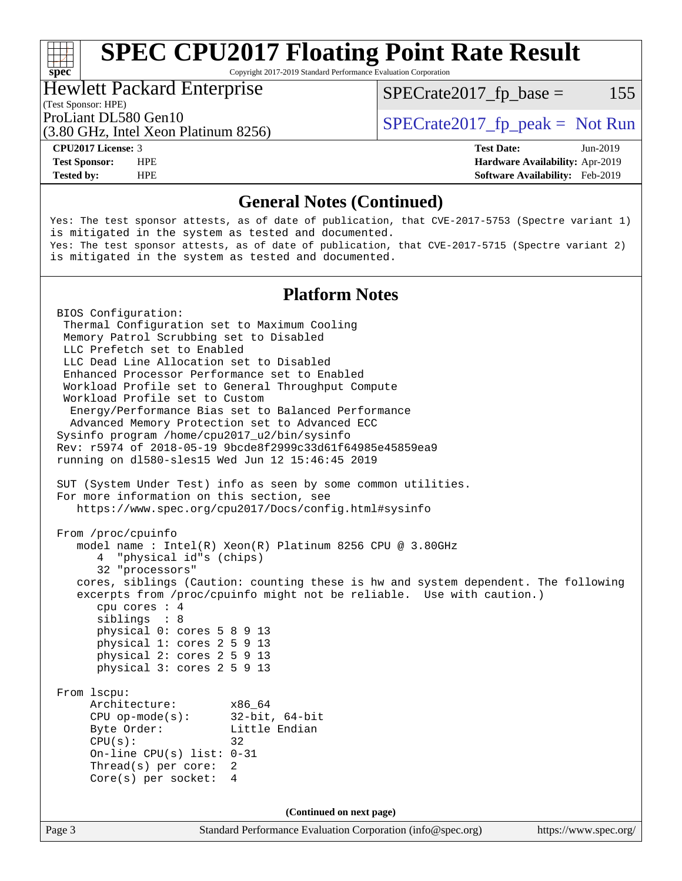## **[SPEC CPU2017 Floating Point Rate Result](http://www.spec.org/auto/cpu2017/Docs/result-fields.html#SPECCPU2017FloatingPointRateResult)**

Copyright 2017-2019 Standard Performance Evaluation Corporation

### Hewlett Packard Enterprise

 $SPECTate2017<sub>fr</sub> base = 155$ 

### (Test Sponsor: HPE)

(3.80 GHz, Intel Xeon Platinum 8256)

ProLiant DL580 Gen10  $SPECrate2017$  fp\_peak = Not Run

**[spec](http://www.spec.org/)**

**[Tested by:](http://www.spec.org/auto/cpu2017/Docs/result-fields.html#Testedby)** HPE **[Software Availability:](http://www.spec.org/auto/cpu2017/Docs/result-fields.html#SoftwareAvailability)** Feb-2019

**[CPU2017 License:](http://www.spec.org/auto/cpu2017/Docs/result-fields.html#CPU2017License)** 3 **[Test Date:](http://www.spec.org/auto/cpu2017/Docs/result-fields.html#TestDate)** Jun-2019 **[Test Sponsor:](http://www.spec.org/auto/cpu2017/Docs/result-fields.html#TestSponsor)** HPE **[Hardware Availability:](http://www.spec.org/auto/cpu2017/Docs/result-fields.html#HardwareAvailability)** Apr-2019

### **[General Notes \(Continued\)](http://www.spec.org/auto/cpu2017/Docs/result-fields.html#GeneralNotes)**

Yes: The test sponsor attests, as of date of publication, that CVE-2017-5753 (Spectre variant 1) is mitigated in the system as tested and documented. Yes: The test sponsor attests, as of date of publication, that CVE-2017-5715 (Spectre variant 2) is mitigated in the system as tested and documented.

### **[Platform Notes](http://www.spec.org/auto/cpu2017/Docs/result-fields.html#PlatformNotes)**

Page 3 Standard Performance Evaluation Corporation [\(info@spec.org\)](mailto:info@spec.org) <https://www.spec.org/> BIOS Configuration: Thermal Configuration set to Maximum Cooling Memory Patrol Scrubbing set to Disabled LLC Prefetch set to Enabled LLC Dead Line Allocation set to Disabled Enhanced Processor Performance set to Enabled Workload Profile set to General Throughput Compute Workload Profile set to Custom Energy/Performance Bias set to Balanced Performance Advanced Memory Protection set to Advanced ECC Sysinfo program /home/cpu2017\_u2/bin/sysinfo Rev: r5974 of 2018-05-19 9bcde8f2999c33d61f64985e45859ea9 running on dl580-sles15 Wed Jun 12 15:46:45 2019 SUT (System Under Test) info as seen by some common utilities. For more information on this section, see <https://www.spec.org/cpu2017/Docs/config.html#sysinfo> From /proc/cpuinfo model name : Intel(R) Xeon(R) Platinum 8256 CPU @ 3.80GHz 4 "physical id"s (chips) 32 "processors" cores, siblings (Caution: counting these is hw and system dependent. The following excerpts from /proc/cpuinfo might not be reliable. Use with caution.) cpu cores : 4 siblings : 8 physical 0: cores 5 8 9 13 physical 1: cores 2 5 9 13 physical 2: cores 2 5 9 13 physical 3: cores 2 5 9 13 From lscpu: Architecture: x86\_64<br>CPU op-mode(s): 32-bit, 64-bit CPU op-mode(s): Byte Order: Little Endian  $CPU(s):$  32 On-line CPU(s) list: 0-31 Thread(s) per core: 2 Core(s) per socket: 4 **(Continued on next page)**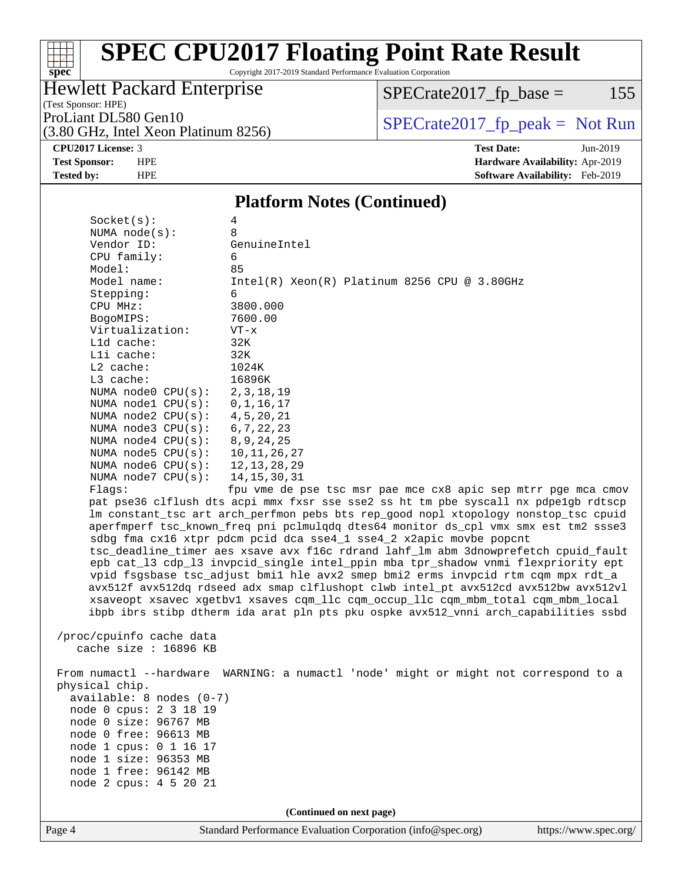# **[spec](http://www.spec.org/)**

## **[SPEC CPU2017 Floating Point Rate Result](http://www.spec.org/auto/cpu2017/Docs/result-fields.html#SPECCPU2017FloatingPointRateResult)**

Copyright 2017-2019 Standard Performance Evaluation Corporation

## Hewlett Packard Enterprise

(3.80 GHz, Intel Xeon Platinum 8256)

 $SPECrate2017_fp\_base = 155$ 

(Test Sponsor: HPE)

ProLiant DL580 Gen10<br>  $(3.80 \text{ GHz})$  Intel Xeon Platinum 8256) [SPECrate2017\\_fp\\_peak =](http://www.spec.org/auto/cpu2017/Docs/result-fields.html#SPECrate2017fppeak) Not Run

**[CPU2017 License:](http://www.spec.org/auto/cpu2017/Docs/result-fields.html#CPU2017License)** 3 **[Test Date:](http://www.spec.org/auto/cpu2017/Docs/result-fields.html#TestDate)** Jun-2019

**[Test Sponsor:](http://www.spec.org/auto/cpu2017/Docs/result-fields.html#TestSponsor)** HPE **[Hardware Availability:](http://www.spec.org/auto/cpu2017/Docs/result-fields.html#HardwareAvailability)** Apr-2019 **[Tested by:](http://www.spec.org/auto/cpu2017/Docs/result-fields.html#Testedby)** HPE **[Software Availability:](http://www.spec.org/auto/cpu2017/Docs/result-fields.html#SoftwareAvailability)** Feb-2019

### **[Platform Notes \(Continued\)](http://www.spec.org/auto/cpu2017/Docs/result-fields.html#PlatformNotes)**

| Socket(s):                                         | 4                                                                                    |
|----------------------------------------------------|--------------------------------------------------------------------------------------|
| NUMA $node(s):$                                    | 8                                                                                    |
| Vendor ID:                                         | GenuineIntel                                                                         |
| CPU family:                                        | 6                                                                                    |
| Model:                                             | 85                                                                                   |
| Model name:                                        | $Intel(R) Xeon(R) Platinum 8256 CPU @ 3.80GHz$                                       |
| Stepping:                                          | 6                                                                                    |
| CPU MHz:                                           | 3800.000                                                                             |
| BogoMIPS:                                          | 7600.00                                                                              |
| Virtualization:                                    | $VT - x$                                                                             |
| L1d cache:                                         | 32K                                                                                  |
| Lli cache:                                         | 32K                                                                                  |
| $L2$ cache:                                        | 1024K                                                                                |
| $L3$ cache:                                        | 16896K                                                                               |
| NUMA node0 CPU(s):                                 | 2, 3, 18, 19                                                                         |
| NUMA nodel CPU(s):                                 | 0, 1, 16, 17                                                                         |
| NUMA node2 CPU(s):                                 | 4, 5, 20, 21                                                                         |
| NUMA $node3$ CPU $(s)$ :<br>NUMA $node4$ $CPU(s):$ | 6, 7, 22, 23<br>8, 9, 24, 25                                                         |
| NUMA node5 CPU(s):                                 | 10, 11, 26, 27                                                                       |
| NUMA node6 $CPU(s):$                               | 12, 13, 28, 29                                                                       |
| NUMA $node7$ CPU $(s)$ :                           | 14, 15, 30, 31                                                                       |
| Flags:                                             | fpu vme de pse tsc msr pae mce cx8 apic sep mtrr pge mca cmov                        |
|                                                    | pat pse36 clflush dts acpi mmx fxsr sse sse2 ss ht tm pbe syscall nx pdpe1gb rdtscp  |
|                                                    | lm constant_tsc art arch_perfmon pebs bts rep_good nopl xtopology nonstop_tsc cpuid  |
|                                                    | aperfmperf tsc_known_freq pni pclmulqdq dtes64 monitor ds_cpl vmx smx est tm2 ssse3  |
|                                                    | sdbg fma cx16 xtpr pdcm pcid dca sse4_1 sse4_2 x2apic movbe popcnt                   |
|                                                    | tsc_deadline_timer aes xsave avx f16c rdrand lahf_lm abm 3dnowprefetch cpuid_fault   |
|                                                    | epb cat_13 cdp_13 invpcid_single intel_ppin mba tpr_shadow vnmi flexpriority ept     |
|                                                    | vpid fsgsbase tsc_adjust bmil hle avx2 smep bmi2 erms invpcid rtm cqm mpx rdt_a      |
|                                                    | avx512f avx512dq rdseed adx smap clflushopt clwb intel_pt avx512cd avx512bw avx512vl |
|                                                    | xsaveopt xsavec xgetbvl xsaves cqm_llc cqm_occup_llc cqm_mbm_total cqm_mbm_local     |
|                                                    | ibpb ibrs stibp dtherm ida arat pln pts pku ospke avx512_vnni arch_capabilities ssbd |
|                                                    |                                                                                      |
| /proc/cpuinfo cache data                           |                                                                                      |
| cache size $: 16896$ KB                            |                                                                                      |
|                                                    |                                                                                      |
|                                                    | From numactl --hardware WARNING: a numactl 'node' might or might not correspond to a |
| physical chip.                                     |                                                                                      |
| $available: 8 nodes (0-7)$                         |                                                                                      |
| node 0 cpus: 2 3 18 19                             |                                                                                      |
| node 0 size: 96767 MB                              |                                                                                      |
| node 0 free: 96613 MB                              |                                                                                      |
| node 1 cpus: 0 1 16 17                             |                                                                                      |
| node 1 size: 96353 MB                              |                                                                                      |
| node 1 free: 96142 MB                              |                                                                                      |
| node 2 cpus: 4 5 20 21                             |                                                                                      |
|                                                    |                                                                                      |
|                                                    | (Continued on next page)                                                             |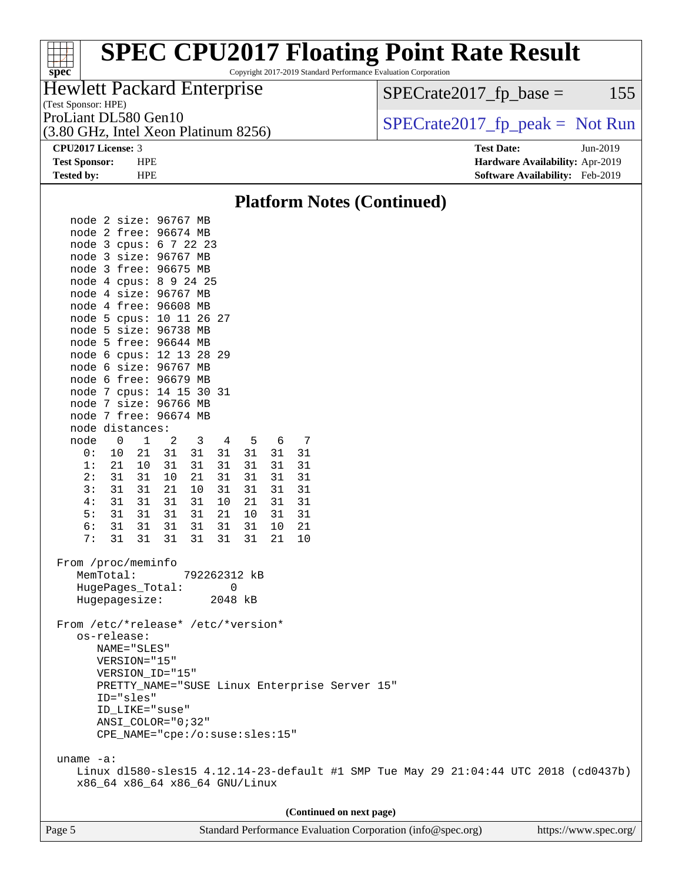### **[spec](http://www.spec.org/)**<sup>®</sup> **[SPEC CPU2017 Floating Point Rate Result](http://www.spec.org/auto/cpu2017/Docs/result-fields.html#SPECCPU2017FloatingPointRateResult)** Copyright 2017-2019 Standard Performance Evaluation Corporation (Test Sponsor: HPE) Hewlett Packard Enterprise (3.80 GHz, Intel Xeon Platinum 8256) ProLiant DL580 Gen10<br>(3.80 GHz, Intel Xeon Platinum 8256) [SPECrate2017\\_fp\\_peak =](http://www.spec.org/auto/cpu2017/Docs/result-fields.html#SPECrate2017fppeak) Not Run  $SPECTate2017<sub>fr</sub> base = 155$

**[CPU2017 License:](http://www.spec.org/auto/cpu2017/Docs/result-fields.html#CPU2017License)** 3 **[Test Date:](http://www.spec.org/auto/cpu2017/Docs/result-fields.html#TestDate)** Jun-2019 **[Test Sponsor:](http://www.spec.org/auto/cpu2017/Docs/result-fields.html#TestSponsor)** HPE **[Hardware Availability:](http://www.spec.org/auto/cpu2017/Docs/result-fields.html#HardwareAvailability)** Apr-2019 **[Tested by:](http://www.spec.org/auto/cpu2017/Docs/result-fields.html#Testedby)** HPE **[Software Availability:](http://www.spec.org/auto/cpu2017/Docs/result-fields.html#SoftwareAvailability)** Feb-2019

### **[Platform Notes \(Continued\)](http://www.spec.org/auto/cpu2017/Docs/result-fields.html#PlatformNotes)** node 2 size: 96767 MB node 2 free: 96674 MB node 3 cpus: 6 7 22 23 node 3 size: 96767 MB node 3 free: 96675 MB node 4 cpus: 8 9 24 25 node 4 size: 96767 MB node 4 free: 96608 MB node 5 cpus: 10 11 26 27 node 5 size: 96738 MB node 5 free: 96644 MB node 6 cpus: 12 13 28 29 node 6 size: 96767 MB node 6 free: 96679 MB node 7 cpus: 14 15 30 31 node 7 size: 96766 MB node 7 free: 96674 MB node distances: node 0 1 2 3 4 5 6 7 0: 10 21 31 31 31 31 31 31 1: 21 10 31 31 31 31 31 31 2: 31 31 10 21 31 31 31 31 3: 31 31 21 10 31 31 31 31 4: 31 31 31 31 10 21 31 31 5: 31 31 31 31 21 10 31 31 6: 31 31 31 31 31 31 10 21 7: 31 31 31 31 31 31 21 10 From /proc/meminfo MemTotal: 792262312 kB HugePages\_Total: 0 Hugepagesize: 2048 kB From /etc/\*release\* /etc/\*version\* os-release: NAME="SLES" VERSION="15" VERSION\_ID="15" PRETTY\_NAME="SUSE Linux Enterprise Server 15" ID="sles" ID\_LIKE="suse" ANSI\_COLOR="0;32" CPE\_NAME="cpe:/o:suse:sles:15" uname -a: Linux dl580-sles15 4.12.14-23-default #1 SMP Tue May 29 21:04:44 UTC 2018 (cd0437b) x86\_64 x86\_64 x86\_64 GNU/Linux **(Continued on next page)**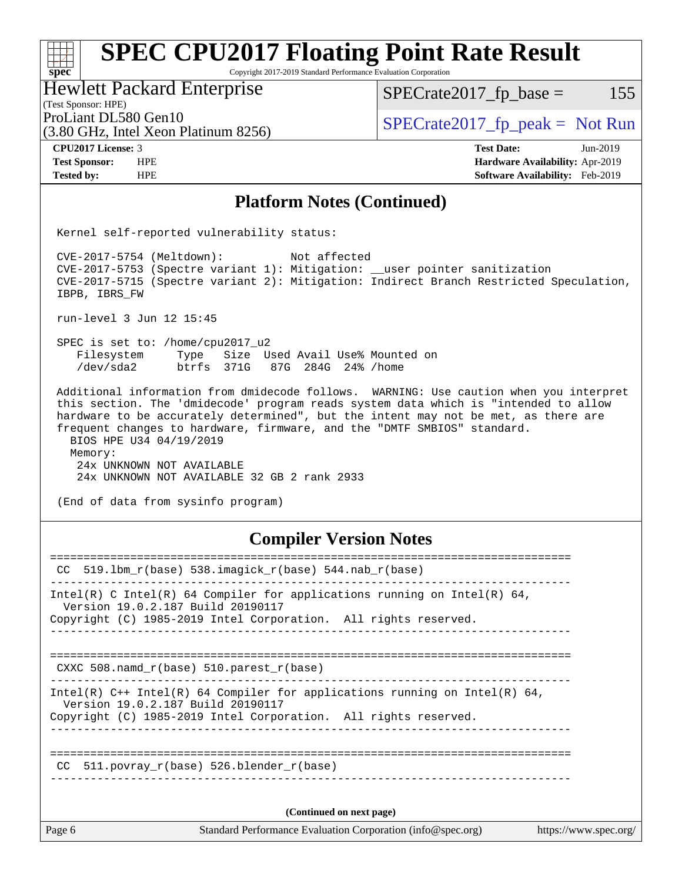### **[spec](http://www.spec.org/) [SPEC CPU2017 Floating Point Rate Result](http://www.spec.org/auto/cpu2017/Docs/result-fields.html#SPECCPU2017FloatingPointRateResult)** Copyright 2017-2019 Standard Performance Evaluation Corporation Hewlett Packard Enterprise

(3.80 GHz, Intel Xeon Platinum 8256)

 $SPECTate2017<sub>fr</sub> base = 155$ 

(Test Sponsor: HPE)

ProLiant DL580 Gen10<br>  $\begin{array}{r} \text{SPECrate2017\_fp\_peak = Not Run} \\ \text{SPECrate2017\_fp\_peak = Not Run} \end{array}$ 

**[CPU2017 License:](http://www.spec.org/auto/cpu2017/Docs/result-fields.html#CPU2017License)** 3 **[Test Date:](http://www.spec.org/auto/cpu2017/Docs/result-fields.html#TestDate)** Jun-2019 **[Test Sponsor:](http://www.spec.org/auto/cpu2017/Docs/result-fields.html#TestSponsor)** HPE **[Hardware Availability:](http://www.spec.org/auto/cpu2017/Docs/result-fields.html#HardwareAvailability)** Apr-2019 **[Tested by:](http://www.spec.org/auto/cpu2017/Docs/result-fields.html#Testedby)** HPE **[Software Availability:](http://www.spec.org/auto/cpu2017/Docs/result-fields.html#SoftwareAvailability)** Feb-2019

## **[Platform Notes \(Continued\)](http://www.spec.org/auto/cpu2017/Docs/result-fields.html#PlatformNotes)**

Kernel self-reported vulnerability status:

 CVE-2017-5754 (Meltdown): Not affected CVE-2017-5753 (Spectre variant 1): Mitigation: \_\_user pointer sanitization CVE-2017-5715 (Spectre variant 2): Mitigation: Indirect Branch Restricted Speculation, IBPB, IBRS\_FW

run-level 3 Jun 12 15:45

 SPEC is set to: /home/cpu2017\_u2 Filesystem Type Size Used Avail Use% Mounted on /dev/sda2 btrfs 371G 87G 284G 24% /home

 Additional information from dmidecode follows. WARNING: Use caution when you interpret this section. The 'dmidecode' program reads system data which is "intended to allow hardware to be accurately determined", but the intent may not be met, as there are frequent changes to hardware, firmware, and the "DMTF SMBIOS" standard. BIOS HPE U34 04/19/2019 Memory: 24x UNKNOWN NOT AVAILABLE

24x UNKNOWN NOT AVAILABLE 32 GB 2 rank 2933

(End of data from sysinfo program)

## **[Compiler Version Notes](http://www.spec.org/auto/cpu2017/Docs/result-fields.html#CompilerVersionNotes)**

| CC 519.1bm $r(base)$ 538.imagick $r(base)$ 544.nab $r(base)$<br>Intel(R) C Intel(R) 64 Compiler for applications running on Intel(R) 64,<br>Version 19.0.2.187 Build 20190117<br>Copyright (C) 1985-2019 Intel Corporation. All rights reserved.<br>CXXC 508. namd $r(base)$ 510. parest $r(base)$<br>Intel(R) $C++$ Intel(R) 64 Compiler for applications running on Intel(R) 64,<br>Version 19.0.2.187 Build 20190117<br>Copyright (C) 1985-2019 Intel Corporation. All rights reserved.<br>CC 511.povray $r(base)$ 526.blender $r(base)$<br>(Continued on next page) | Page 6 | Standard Performance Evaluation Corporation (info@spec.org)<br>https://www.spec.org/ |  |
|-------------------------------------------------------------------------------------------------------------------------------------------------------------------------------------------------------------------------------------------------------------------------------------------------------------------------------------------------------------------------------------------------------------------------------------------------------------------------------------------------------------------------------------------------------------------------|--------|--------------------------------------------------------------------------------------|--|
|                                                                                                                                                                                                                                                                                                                                                                                                                                                                                                                                                                         |        |                                                                                      |  |
|                                                                                                                                                                                                                                                                                                                                                                                                                                                                                                                                                                         |        |                                                                                      |  |
|                                                                                                                                                                                                                                                                                                                                                                                                                                                                                                                                                                         |        |                                                                                      |  |
|                                                                                                                                                                                                                                                                                                                                                                                                                                                                                                                                                                         |        |                                                                                      |  |
|                                                                                                                                                                                                                                                                                                                                                                                                                                                                                                                                                                         |        |                                                                                      |  |
|                                                                                                                                                                                                                                                                                                                                                                                                                                                                                                                                                                         |        |                                                                                      |  |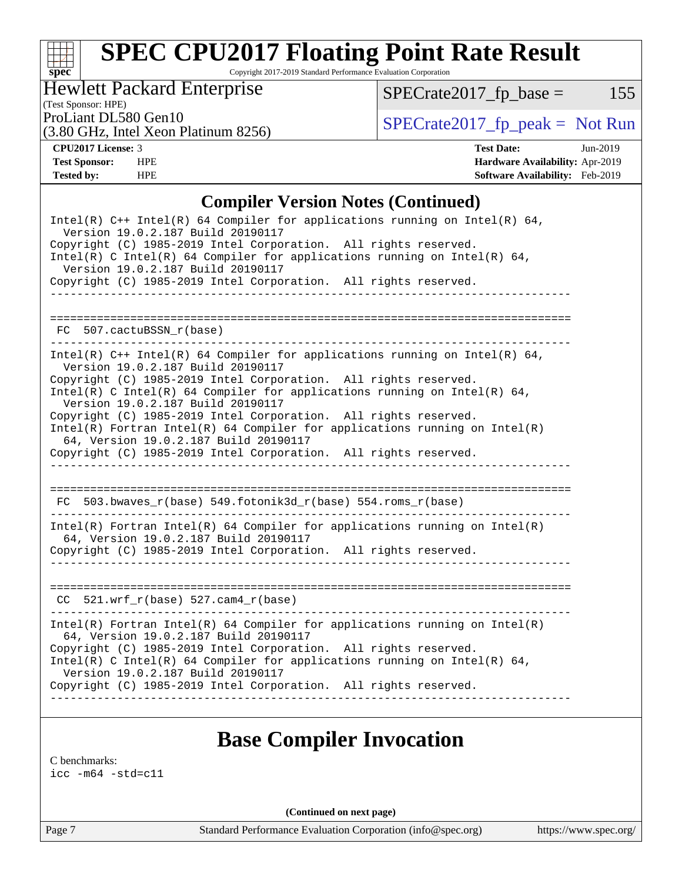# **[spec](http://www.spec.org/)**

## **[SPEC CPU2017 Floating Point Rate Result](http://www.spec.org/auto/cpu2017/Docs/result-fields.html#SPECCPU2017FloatingPointRateResult)**

Copyright 2017-2019 Standard Performance Evaluation Corporation

Hewlett Packard Enterprise

 $SPECrate2017_fp\_base = 155$ 

(Test Sponsor: HPE)

(3.80 GHz, Intel Xeon Platinum 8256)

ProLiant DL580 Gen10<br>  $\begin{array}{r} \text{SPECrate2017\_fp\_peak = Not Run} \\ \text{SPECrate2017\_fp\_peak = Not Run} \end{array}$ 

**[CPU2017 License:](http://www.spec.org/auto/cpu2017/Docs/result-fields.html#CPU2017License)** 3 **[Test Date:](http://www.spec.org/auto/cpu2017/Docs/result-fields.html#TestDate)** Jun-2019 **[Test Sponsor:](http://www.spec.org/auto/cpu2017/Docs/result-fields.html#TestSponsor)** HPE **[Hardware Availability:](http://www.spec.org/auto/cpu2017/Docs/result-fields.html#HardwareAvailability)** Apr-2019 **[Tested by:](http://www.spec.org/auto/cpu2017/Docs/result-fields.html#Testedby)** HPE **[Software Availability:](http://www.spec.org/auto/cpu2017/Docs/result-fields.html#SoftwareAvailability)** Feb-2019

## **[Compiler Version Notes \(Continued\)](http://www.spec.org/auto/cpu2017/Docs/result-fields.html#CompilerVersionNotes)**

| Intel(R) $C++$ Intel(R) 64 Compiler for applications running on Intel(R) 64,<br>Version 19.0.2.187 Build 20190117<br>Copyright (C) 1985-2019 Intel Corporation. All rights reserved.<br>Intel(R) C Intel(R) 64 Compiler for applications running on Intel(R) 64,<br>Version 19.0.2.187 Build 20190117<br>Copyright (C) 1985-2019 Intel Corporation. All rights reserved.                                                                                                                                                                                             |
|----------------------------------------------------------------------------------------------------------------------------------------------------------------------------------------------------------------------------------------------------------------------------------------------------------------------------------------------------------------------------------------------------------------------------------------------------------------------------------------------------------------------------------------------------------------------|
| FC 507.cactuBSSN r(base)                                                                                                                                                                                                                                                                                                                                                                                                                                                                                                                                             |
| Intel(R) $C++$ Intel(R) 64 Compiler for applications running on Intel(R) 64,<br>Version 19.0.2.187 Build 20190117<br>Copyright (C) 1985-2019 Intel Corporation. All rights reserved.<br>Intel(R) C Intel(R) 64 Compiler for applications running on Intel(R) 64,<br>Version 19.0.2.187 Build 20190117<br>Copyright (C) 1985-2019 Intel Corporation. All rights reserved.<br>$Intel(R)$ Fortran Intel(R) 64 Compiler for applications running on Intel(R)<br>64, Version 19.0.2.187 Build 20190117<br>Copyright (C) 1985-2019 Intel Corporation. All rights reserved. |
| FC 503.bwaves_r(base) 549.fotonik3d_r(base) 554.roms_r(base)                                                                                                                                                                                                                                                                                                                                                                                                                                                                                                         |
| $Intel(R)$ Fortran Intel(R) 64 Compiler for applications running on Intel(R)<br>64, Version 19.0.2.187 Build 20190117<br>Copyright (C) 1985-2019 Intel Corporation. All rights reserved.                                                                                                                                                                                                                                                                                                                                                                             |
| $CC$ 521.wrf_r(base) 527.cam4_r(base)                                                                                                                                                                                                                                                                                                                                                                                                                                                                                                                                |
| $Intel(R)$ Fortran Intel(R) 64 Compiler for applications running on Intel(R)<br>64, Version 19.0.2.187 Build 20190117<br>Copyright (C) 1985-2019 Intel Corporation. All rights reserved.<br>Intel(R) C Intel(R) 64 Compiler for applications running on Intel(R) 64,<br>Version 19.0.2.187 Build 20190117<br>Copyright (C) 1985-2019 Intel Corporation. All rights reserved.                                                                                                                                                                                         |

## **[Base Compiler Invocation](http://www.spec.org/auto/cpu2017/Docs/result-fields.html#BaseCompilerInvocation)**

[C benchmarks](http://www.spec.org/auto/cpu2017/Docs/result-fields.html#Cbenchmarks):

[icc -m64 -std=c11](http://www.spec.org/cpu2017/results/res2019q3/cpu2017-20190625-15758.flags.html#user_CCbase_intel_icc_64bit_c11_33ee0cdaae7deeeab2a9725423ba97205ce30f63b9926c2519791662299b76a0318f32ddfffdc46587804de3178b4f9328c46fa7c2b0cd779d7a61945c91cd35)

**(Continued on next page)**

Page 7 Standard Performance Evaluation Corporation [\(info@spec.org\)](mailto:info@spec.org) <https://www.spec.org/>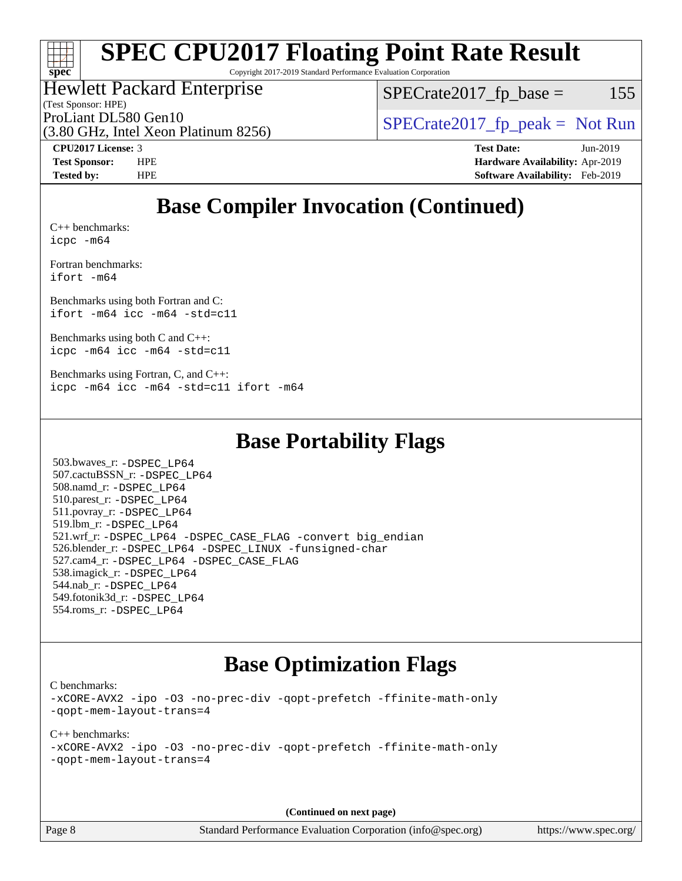## **[spec](http://www.spec.org/)**

## **[SPEC CPU2017 Floating Point Rate Result](http://www.spec.org/auto/cpu2017/Docs/result-fields.html#SPECCPU2017FloatingPointRateResult)**

Copyright 2017-2019 Standard Performance Evaluation Corporation

## Hewlett Packard Enterprise

(Test Sponsor: HPE)

 $SPECTate2017<sub>fr</sub> base = 155$ 

(3.80 GHz, Intel Xeon Platinum 8256)

ProLiant DL580 Gen10  $SPECrate2017$  fp\_peak = Not Run

**[CPU2017 License:](http://www.spec.org/auto/cpu2017/Docs/result-fields.html#CPU2017License)** 3 **[Test Date:](http://www.spec.org/auto/cpu2017/Docs/result-fields.html#TestDate)** Jun-2019 **[Test Sponsor:](http://www.spec.org/auto/cpu2017/Docs/result-fields.html#TestSponsor)** HPE **[Hardware Availability:](http://www.spec.org/auto/cpu2017/Docs/result-fields.html#HardwareAvailability)** Apr-2019 **[Tested by:](http://www.spec.org/auto/cpu2017/Docs/result-fields.html#Testedby)** HPE **[Software Availability:](http://www.spec.org/auto/cpu2017/Docs/result-fields.html#SoftwareAvailability)** Feb-2019

## **[Base Compiler Invocation \(Continued\)](http://www.spec.org/auto/cpu2017/Docs/result-fields.html#BaseCompilerInvocation)**

[C++ benchmarks:](http://www.spec.org/auto/cpu2017/Docs/result-fields.html#CXXbenchmarks) [icpc -m64](http://www.spec.org/cpu2017/results/res2019q3/cpu2017-20190625-15758.flags.html#user_CXXbase_intel_icpc_64bit_4ecb2543ae3f1412ef961e0650ca070fec7b7afdcd6ed48761b84423119d1bf6bdf5cad15b44d48e7256388bc77273b966e5eb805aefd121eb22e9299b2ec9d9)

[Fortran benchmarks](http://www.spec.org/auto/cpu2017/Docs/result-fields.html#Fortranbenchmarks): [ifort -m64](http://www.spec.org/cpu2017/results/res2019q3/cpu2017-20190625-15758.flags.html#user_FCbase_intel_ifort_64bit_24f2bb282fbaeffd6157abe4f878425411749daecae9a33200eee2bee2fe76f3b89351d69a8130dd5949958ce389cf37ff59a95e7a40d588e8d3a57e0c3fd751)

[Benchmarks using both Fortran and C](http://www.spec.org/auto/cpu2017/Docs/result-fields.html#BenchmarksusingbothFortranandC): [ifort -m64](http://www.spec.org/cpu2017/results/res2019q3/cpu2017-20190625-15758.flags.html#user_CC_FCbase_intel_ifort_64bit_24f2bb282fbaeffd6157abe4f878425411749daecae9a33200eee2bee2fe76f3b89351d69a8130dd5949958ce389cf37ff59a95e7a40d588e8d3a57e0c3fd751) [icc -m64 -std=c11](http://www.spec.org/cpu2017/results/res2019q3/cpu2017-20190625-15758.flags.html#user_CC_FCbase_intel_icc_64bit_c11_33ee0cdaae7deeeab2a9725423ba97205ce30f63b9926c2519791662299b76a0318f32ddfffdc46587804de3178b4f9328c46fa7c2b0cd779d7a61945c91cd35)

[Benchmarks using both C and C++](http://www.spec.org/auto/cpu2017/Docs/result-fields.html#BenchmarksusingbothCandCXX): [icpc -m64](http://www.spec.org/cpu2017/results/res2019q3/cpu2017-20190625-15758.flags.html#user_CC_CXXbase_intel_icpc_64bit_4ecb2543ae3f1412ef961e0650ca070fec7b7afdcd6ed48761b84423119d1bf6bdf5cad15b44d48e7256388bc77273b966e5eb805aefd121eb22e9299b2ec9d9) [icc -m64 -std=c11](http://www.spec.org/cpu2017/results/res2019q3/cpu2017-20190625-15758.flags.html#user_CC_CXXbase_intel_icc_64bit_c11_33ee0cdaae7deeeab2a9725423ba97205ce30f63b9926c2519791662299b76a0318f32ddfffdc46587804de3178b4f9328c46fa7c2b0cd779d7a61945c91cd35)

[Benchmarks using Fortran, C, and C++:](http://www.spec.org/auto/cpu2017/Docs/result-fields.html#BenchmarksusingFortranCandCXX) [icpc -m64](http://www.spec.org/cpu2017/results/res2019q3/cpu2017-20190625-15758.flags.html#user_CC_CXX_FCbase_intel_icpc_64bit_4ecb2543ae3f1412ef961e0650ca070fec7b7afdcd6ed48761b84423119d1bf6bdf5cad15b44d48e7256388bc77273b966e5eb805aefd121eb22e9299b2ec9d9) [icc -m64 -std=c11](http://www.spec.org/cpu2017/results/res2019q3/cpu2017-20190625-15758.flags.html#user_CC_CXX_FCbase_intel_icc_64bit_c11_33ee0cdaae7deeeab2a9725423ba97205ce30f63b9926c2519791662299b76a0318f32ddfffdc46587804de3178b4f9328c46fa7c2b0cd779d7a61945c91cd35) [ifort -m64](http://www.spec.org/cpu2017/results/res2019q3/cpu2017-20190625-15758.flags.html#user_CC_CXX_FCbase_intel_ifort_64bit_24f2bb282fbaeffd6157abe4f878425411749daecae9a33200eee2bee2fe76f3b89351d69a8130dd5949958ce389cf37ff59a95e7a40d588e8d3a57e0c3fd751)

## **[Base Portability Flags](http://www.spec.org/auto/cpu2017/Docs/result-fields.html#BasePortabilityFlags)**

 503.bwaves\_r: [-DSPEC\\_LP64](http://www.spec.org/cpu2017/results/res2019q3/cpu2017-20190625-15758.flags.html#suite_basePORTABILITY503_bwaves_r_DSPEC_LP64) 507.cactuBSSN\_r: [-DSPEC\\_LP64](http://www.spec.org/cpu2017/results/res2019q3/cpu2017-20190625-15758.flags.html#suite_basePORTABILITY507_cactuBSSN_r_DSPEC_LP64) 508.namd\_r: [-DSPEC\\_LP64](http://www.spec.org/cpu2017/results/res2019q3/cpu2017-20190625-15758.flags.html#suite_basePORTABILITY508_namd_r_DSPEC_LP64) 510.parest\_r: [-DSPEC\\_LP64](http://www.spec.org/cpu2017/results/res2019q3/cpu2017-20190625-15758.flags.html#suite_basePORTABILITY510_parest_r_DSPEC_LP64) 511.povray\_r: [-DSPEC\\_LP64](http://www.spec.org/cpu2017/results/res2019q3/cpu2017-20190625-15758.flags.html#suite_basePORTABILITY511_povray_r_DSPEC_LP64) 519.lbm\_r: [-DSPEC\\_LP64](http://www.spec.org/cpu2017/results/res2019q3/cpu2017-20190625-15758.flags.html#suite_basePORTABILITY519_lbm_r_DSPEC_LP64) 521.wrf\_r: [-DSPEC\\_LP64](http://www.spec.org/cpu2017/results/res2019q3/cpu2017-20190625-15758.flags.html#suite_basePORTABILITY521_wrf_r_DSPEC_LP64) [-DSPEC\\_CASE\\_FLAG](http://www.spec.org/cpu2017/results/res2019q3/cpu2017-20190625-15758.flags.html#b521.wrf_r_baseCPORTABILITY_DSPEC_CASE_FLAG) [-convert big\\_endian](http://www.spec.org/cpu2017/results/res2019q3/cpu2017-20190625-15758.flags.html#user_baseFPORTABILITY521_wrf_r_convert_big_endian_c3194028bc08c63ac5d04de18c48ce6d347e4e562e8892b8bdbdc0214820426deb8554edfa529a3fb25a586e65a3d812c835984020483e7e73212c4d31a38223) 526.blender\_r: [-DSPEC\\_LP64](http://www.spec.org/cpu2017/results/res2019q3/cpu2017-20190625-15758.flags.html#suite_basePORTABILITY526_blender_r_DSPEC_LP64) [-DSPEC\\_LINUX](http://www.spec.org/cpu2017/results/res2019q3/cpu2017-20190625-15758.flags.html#b526.blender_r_baseCPORTABILITY_DSPEC_LINUX) [-funsigned-char](http://www.spec.org/cpu2017/results/res2019q3/cpu2017-20190625-15758.flags.html#user_baseCPORTABILITY526_blender_r_force_uchar_40c60f00ab013830e2dd6774aeded3ff59883ba5a1fc5fc14077f794d777847726e2a5858cbc7672e36e1b067e7e5c1d9a74f7176df07886a243d7cc18edfe67) 527.cam4\_r: [-DSPEC\\_LP64](http://www.spec.org/cpu2017/results/res2019q3/cpu2017-20190625-15758.flags.html#suite_basePORTABILITY527_cam4_r_DSPEC_LP64) [-DSPEC\\_CASE\\_FLAG](http://www.spec.org/cpu2017/results/res2019q3/cpu2017-20190625-15758.flags.html#b527.cam4_r_baseCPORTABILITY_DSPEC_CASE_FLAG) 538.imagick\_r: [-DSPEC\\_LP64](http://www.spec.org/cpu2017/results/res2019q3/cpu2017-20190625-15758.flags.html#suite_basePORTABILITY538_imagick_r_DSPEC_LP64) 544.nab\_r: [-DSPEC\\_LP64](http://www.spec.org/cpu2017/results/res2019q3/cpu2017-20190625-15758.flags.html#suite_basePORTABILITY544_nab_r_DSPEC_LP64) 549.fotonik3d\_r: [-DSPEC\\_LP64](http://www.spec.org/cpu2017/results/res2019q3/cpu2017-20190625-15758.flags.html#suite_basePORTABILITY549_fotonik3d_r_DSPEC_LP64) 554.roms\_r: [-DSPEC\\_LP64](http://www.spec.org/cpu2017/results/res2019q3/cpu2017-20190625-15758.flags.html#suite_basePORTABILITY554_roms_r_DSPEC_LP64)

## **[Base Optimization Flags](http://www.spec.org/auto/cpu2017/Docs/result-fields.html#BaseOptimizationFlags)**

[C benchmarks](http://www.spec.org/auto/cpu2017/Docs/result-fields.html#Cbenchmarks):

[-xCORE-AVX2](http://www.spec.org/cpu2017/results/res2019q3/cpu2017-20190625-15758.flags.html#user_CCbase_f-xCORE-AVX2) [-ipo](http://www.spec.org/cpu2017/results/res2019q3/cpu2017-20190625-15758.flags.html#user_CCbase_f-ipo) [-O3](http://www.spec.org/cpu2017/results/res2019q3/cpu2017-20190625-15758.flags.html#user_CCbase_f-O3) [-no-prec-div](http://www.spec.org/cpu2017/results/res2019q3/cpu2017-20190625-15758.flags.html#user_CCbase_f-no-prec-div) [-qopt-prefetch](http://www.spec.org/cpu2017/results/res2019q3/cpu2017-20190625-15758.flags.html#user_CCbase_f-qopt-prefetch) [-ffinite-math-only](http://www.spec.org/cpu2017/results/res2019q3/cpu2017-20190625-15758.flags.html#user_CCbase_f_finite_math_only_cb91587bd2077682c4b38af759c288ed7c732db004271a9512da14a4f8007909a5f1427ecbf1a0fb78ff2a814402c6114ac565ca162485bbcae155b5e4258871) [-qopt-mem-layout-trans=4](http://www.spec.org/cpu2017/results/res2019q3/cpu2017-20190625-15758.flags.html#user_CCbase_f-qopt-mem-layout-trans_fa39e755916c150a61361b7846f310bcdf6f04e385ef281cadf3647acec3f0ae266d1a1d22d972a7087a248fd4e6ca390a3634700869573d231a252c784941a8)

[C++ benchmarks:](http://www.spec.org/auto/cpu2017/Docs/result-fields.html#CXXbenchmarks) [-xCORE-AVX2](http://www.spec.org/cpu2017/results/res2019q3/cpu2017-20190625-15758.flags.html#user_CXXbase_f-xCORE-AVX2) [-ipo](http://www.spec.org/cpu2017/results/res2019q3/cpu2017-20190625-15758.flags.html#user_CXXbase_f-ipo) [-O3](http://www.spec.org/cpu2017/results/res2019q3/cpu2017-20190625-15758.flags.html#user_CXXbase_f-O3) [-no-prec-div](http://www.spec.org/cpu2017/results/res2019q3/cpu2017-20190625-15758.flags.html#user_CXXbase_f-no-prec-div) [-qopt-prefetch](http://www.spec.org/cpu2017/results/res2019q3/cpu2017-20190625-15758.flags.html#user_CXXbase_f-qopt-prefetch) [-ffinite-math-only](http://www.spec.org/cpu2017/results/res2019q3/cpu2017-20190625-15758.flags.html#user_CXXbase_f_finite_math_only_cb91587bd2077682c4b38af759c288ed7c732db004271a9512da14a4f8007909a5f1427ecbf1a0fb78ff2a814402c6114ac565ca162485bbcae155b5e4258871) [-qopt-mem-layout-trans=4](http://www.spec.org/cpu2017/results/res2019q3/cpu2017-20190625-15758.flags.html#user_CXXbase_f-qopt-mem-layout-trans_fa39e755916c150a61361b7846f310bcdf6f04e385ef281cadf3647acec3f0ae266d1a1d22d972a7087a248fd4e6ca390a3634700869573d231a252c784941a8)

**(Continued on next page)**

Page 8 Standard Performance Evaluation Corporation [\(info@spec.org\)](mailto:info@spec.org) <https://www.spec.org/>